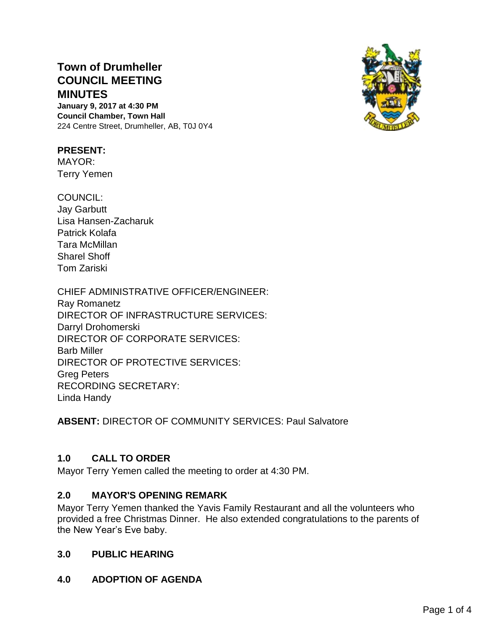# **Town of Drumheller COUNCIL MEETING MINUTES**

**January 9, 2017 at 4:30 PM Council Chamber, Town Hall** 224 Centre Street, Drumheller, AB, T0J 0Y4

### **PRESENT:**

MAYOR: Terry Yemen

COUNCIL: Jay Garbutt Lisa Hansen-Zacharuk Patrick Kolafa Tara McMillan Sharel Shoff Tom Zariski

CHIEF ADMINISTRATIVE OFFICER/ENGINEER: Ray Romanetz DIRECTOR OF INFRASTRUCTURE SERVICES: Darryl Drohomerski DIRECTOR OF CORPORATE SERVICES: Barb Miller DIRECTOR OF PROTECTIVE SERVICES: Greg Peters RECORDING SECRETARY: Linda Handy

**ABSENT:** DIRECTOR OF COMMUNITY SERVICES: Paul Salvatore

# **1.0 CALL TO ORDER**

Mayor Terry Yemen called the meeting to order at 4:30 PM.

# **2.0 MAYOR'S OPENING REMARK**

Mayor Terry Yemen thanked the Yavis Family Restaurant and all the volunteers who provided a free Christmas Dinner. He also extended congratulations to the parents of the New Year's Eve baby.

# **3.0 PUBLIC HEARING**

**4.0 ADOPTION OF AGENDA**

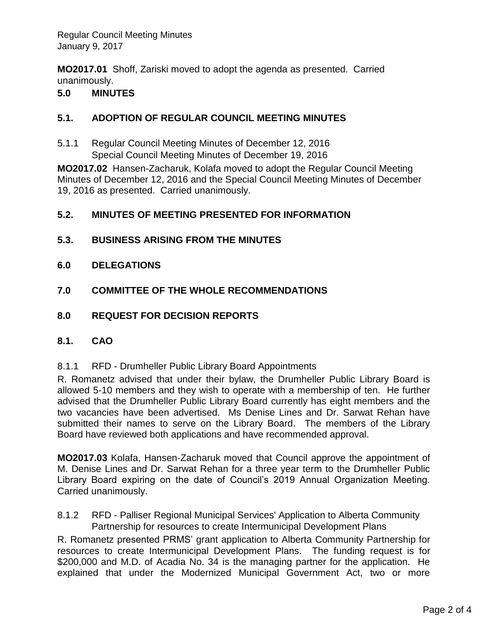**MO2017.01** Shoff, Zariski moved to adopt the agenda as presented. Carried unanimously.

### **5.0 MINUTES**

### **5.1. ADOPTION OF REGULAR COUNCIL MEETING MINUTES**

5.1.1 Regular Council Meeting Minutes of December 12, 2016 Special Council Meeting Minutes of December 19, 2016

**MO2017.02** Hansen-Zacharuk, Kolafa moved to adopt the Regular Council Meeting Minutes of December 12, 2016 and the Special Council Meeting Minutes of December 19, 2016 as presented. Carried unanimously.

### **5.2. MINUTES OF MEETING PRESENTED FOR INFORMATION**

- **5.3. BUSINESS ARISING FROM THE MINUTES**
- **6.0 DELEGATIONS**
- **7.0 COMMITTEE OF THE WHOLE RECOMMENDATIONS**
- **8.0 REQUEST FOR DECISION REPORTS**
- **8.1. CAO**

8.1.1 RFD - Drumheller Public Library Board Appointments

R. Romanetz advised that under their bylaw, the Drumheller Public Library Board is allowed 5-10 members and they wish to operate with a membership of ten. He further advised that the Drumheller Public Library Board currently has eight members and the two vacancies have been advertised. Ms Denise Lines and Dr. Sarwat Rehan have submitted their names to serve on the Library Board. The members of the Library Board have reviewed both applications and have recommended approval.

**MO2017.03** Kolafa, Hansen-Zacharuk moved that Council approve the appointment of M. Denise Lines and Dr. Sarwat Rehan for a three year term to the Drumheller Public Library Board expiring on the date of Council's 2019 Annual Organization Meeting. Carried unanimously.

8.1.2 RFD - Palliser Regional Municipal Services' Application to Alberta Community Partnership for resources to create Intermunicipal Development Plans

R. Romanetz presented PRMS' grant application to Alberta Community Partnership for resources to create Intermunicipal Development Plans. The funding request is for \$200,000 and M.D. of Acadia No. 34 is the managing partner for the application. He explained that under the Modernized Municipal Government Act, two or more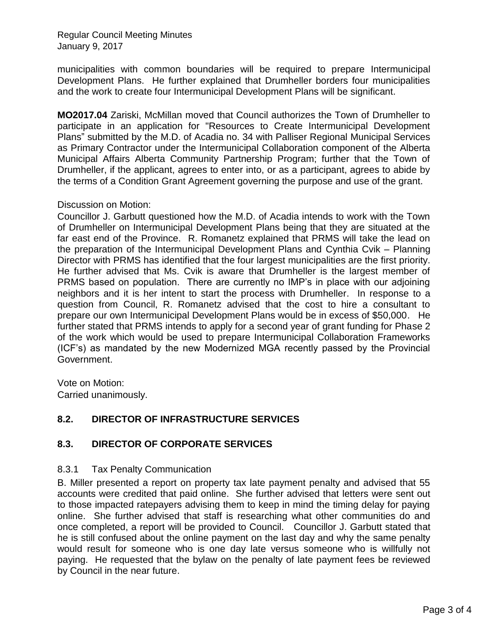Regular Council Meeting Minutes January 9, 2017

municipalities with common boundaries will be required to prepare Intermunicipal Development Plans. He further explained that Drumheller borders four municipalities and the work to create four Intermunicipal Development Plans will be significant.

**MO2017.04** Zariski, McMillan moved that Council authorizes the Town of Drumheller to participate in an application for "Resources to Create Intermunicipal Development Plans" submitted by the M.D. of Acadia no. 34 with Palliser Regional Municipal Services as Primary Contractor under the Intermunicipal Collaboration component of the Alberta Municipal Affairs Alberta Community Partnership Program; further that the Town of Drumheller, if the applicant, agrees to enter into, or as a participant, agrees to abide by the terms of a Condition Grant Agreement governing the purpose and use of the grant.

#### Discussion on Motion:

Councillor J. Garbutt questioned how the M.D. of Acadia intends to work with the Town of Drumheller on Intermunicipal Development Plans being that they are situated at the far east end of the Province. R. Romanetz explained that PRMS will take the lead on the preparation of the Intermunicipal Development Plans and Cynthia Cvik – Planning Director with PRMS has identified that the four largest municipalities are the first priority. He further advised that Ms. Cvik is aware that Drumheller is the largest member of PRMS based on population. There are currently no IMP's in place with our adjoining neighbors and it is her intent to start the process with Drumheller. In response to a question from Council, R. Romanetz advised that the cost to hire a consultant to prepare our own Intermunicipal Development Plans would be in excess of \$50,000. He further stated that PRMS intends to apply for a second year of grant funding for Phase 2 of the work which would be used to prepare Intermunicipal Collaboration Frameworks (ICF's) as mandated by the new Modernized MGA recently passed by the Provincial Government.

Vote on Motion: Carried unanimously.

# **8.2. DIRECTOR OF INFRASTRUCTURE SERVICES**

#### **8.3. DIRECTOR OF CORPORATE SERVICES**

#### 8.3.1 Tax Penalty Communication

B. Miller presented a report on property tax late payment penalty and advised that 55 accounts were credited that paid online. She further advised that letters were sent out to those impacted ratepayers advising them to keep in mind the timing delay for paying online. She further advised that staff is researching what other communities do and once completed, a report will be provided to Council. Councillor J. Garbutt stated that he is still confused about the online payment on the last day and why the same penalty would result for someone who is one day late versus someone who is willfully not paying. He requested that the bylaw on the penalty of late payment fees be reviewed by Council in the near future.